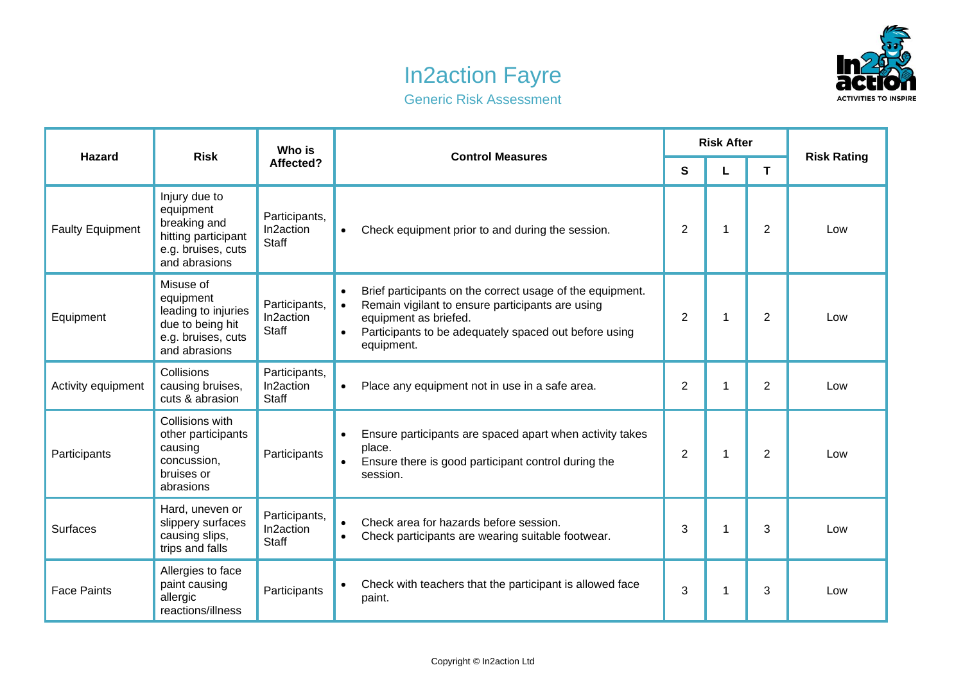## In2action Fayre



Generic Risk Assessment

| <b>Hazard</b>           | <b>Risk</b>                                                                                              | Who is<br>Affected?                        | <b>Control Measures</b>                                                                                                                                                                                                                              | <b>Risk After</b> |   |                |                    |
|-------------------------|----------------------------------------------------------------------------------------------------------|--------------------------------------------|------------------------------------------------------------------------------------------------------------------------------------------------------------------------------------------------------------------------------------------------------|-------------------|---|----------------|--------------------|
|                         |                                                                                                          |                                            |                                                                                                                                                                                                                                                      | S                 | L | T.             | <b>Risk Rating</b> |
| <b>Faulty Equipment</b> | Injury due to<br>equipment<br>breaking and<br>hitting participant<br>e.g. bruises, cuts<br>and abrasions | Participants,<br>In2action<br><b>Staff</b> | Check equipment prior to and during the session.<br>$\bullet$                                                                                                                                                                                        | $\overline{2}$    | 1 | 2              | Low                |
| Equipment               | Misuse of<br>equipment<br>leading to injuries<br>due to being hit<br>e.g. bruises, cuts<br>and abrasions | Participants,<br>In2action<br><b>Staff</b> | Brief participants on the correct usage of the equipment.<br>$\bullet$<br>Remain vigilant to ensure participants are using<br>$\bullet$<br>equipment as briefed.<br>Participants to be adequately spaced out before using<br>$\bullet$<br>equipment. | $\overline{2}$    | 1 | $\overline{2}$ | Low                |
| Activity equipment      | Collisions<br>causing bruises,<br>cuts & abrasion                                                        | Participants,<br>In2action<br>Staff        | Place any equipment not in use in a safe area.<br>$\bullet$                                                                                                                                                                                          | $\overline{2}$    | 1 | 2              | Low                |
| Participants            | Collisions with<br>other participants<br>causing<br>concussion,<br>bruises or<br>abrasions               | Participants                               | Ensure participants are spaced apart when activity takes<br>place.<br>Ensure there is good participant control during the<br>$\bullet$<br>session.                                                                                                   | $\overline{2}$    | 1 | $\overline{2}$ | Low                |
| <b>Surfaces</b>         | Hard, uneven or<br>slippery surfaces<br>causing slips,<br>trips and falls                                | Participants,<br>In2action<br><b>Staff</b> | Check area for hazards before session.<br>$\bullet$<br>Check participants are wearing suitable footwear.<br>$\bullet$                                                                                                                                | 3                 | 1 | 3              | Low                |
| <b>Face Paints</b>      | Allergies to face<br>paint causing<br>allergic<br>reactions/illness                                      | Participants                               | Check with teachers that the participant is allowed face<br>paint.                                                                                                                                                                                   | 3                 | 1 | 3              | Low                |